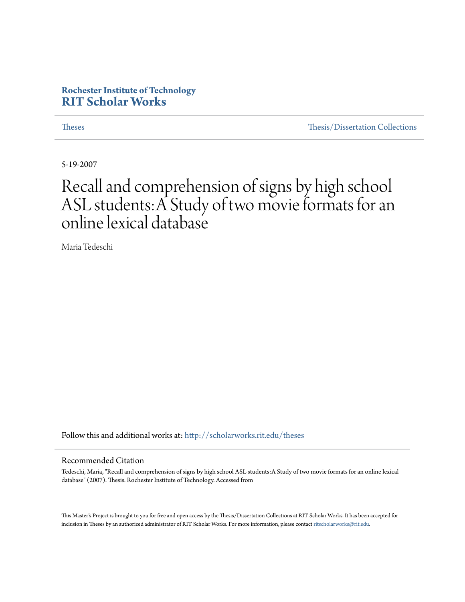# **Rochester Institute of Technology [RIT Scholar Works](http://scholarworks.rit.edu?utm_source=scholarworks.rit.edu%2Ftheses%2F3982&utm_medium=PDF&utm_campaign=PDFCoverPages)**

[Theses](http://scholarworks.rit.edu/theses?utm_source=scholarworks.rit.edu%2Ftheses%2F3982&utm_medium=PDF&utm_campaign=PDFCoverPages) [Thesis/Dissertation Collections](http://scholarworks.rit.edu/etd_collections?utm_source=scholarworks.rit.edu%2Ftheses%2F3982&utm_medium=PDF&utm_campaign=PDFCoverPages)

5-19-2007

# Recall and comprehension of signs by high school ASL students:A Study of two movie formats for an online lexical database

Maria Tedeschi

Follow this and additional works at: [http://scholarworks.rit.edu/theses](http://scholarworks.rit.edu/theses?utm_source=scholarworks.rit.edu%2Ftheses%2F3982&utm_medium=PDF&utm_campaign=PDFCoverPages)

#### Recommended Citation

Tedeschi, Maria, "Recall and comprehension of signs by high school ASL students:A Study of two movie formats for an online lexical database" (2007). Thesis. Rochester Institute of Technology. Accessed from

This Master's Project is brought to you for free and open access by the Thesis/Dissertation Collections at RIT Scholar Works. It has been accepted for inclusion in Theses by an authorized administrator of RIT Scholar Works. For more information, please contact [ritscholarworks@rit.edu](mailto:ritscholarworks@rit.edu).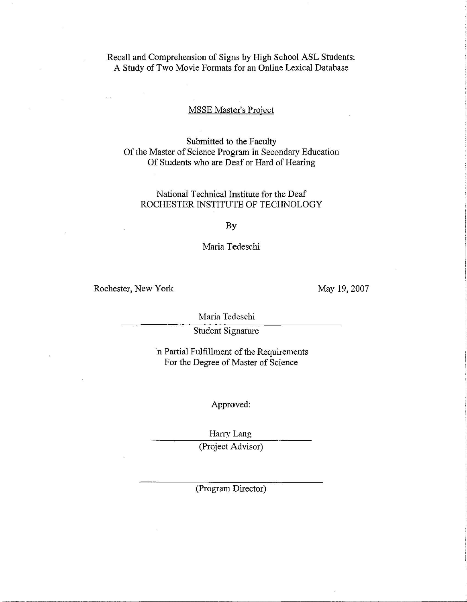# Recall and Comprehension of Signs by High School ASL Students: A Study of Two Movie Formats for an Online Lexical Database

# MSSE Master's Project

Submitted to the Faculty Of the Master of Science Program in Secondary Education Of Students who are Deaf or Hard of Hearing

### National Technical Institute for the Deaf ROCHESTER INSTITUTE OF TECHNOLOGY

By

#### Maria Tedeschi

Rochester, New York

May 19,2007

Maria Tedeschi

Student Signature

In Partial Fulfillment of the Requirements For the Degree of Master of Science

Approved:

Harry Lang (Project Advisor)

(Program Director)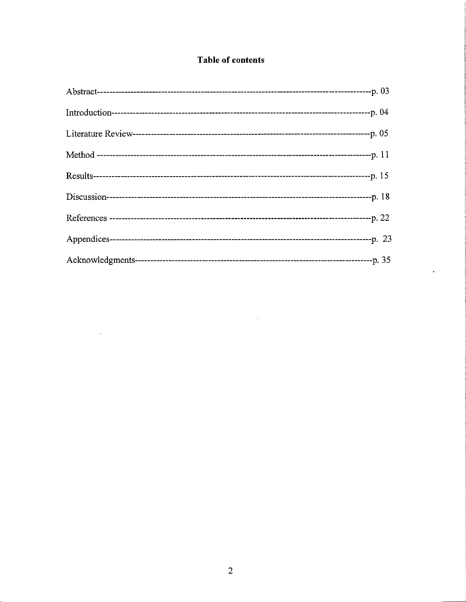# Table of contents

 $\hat{\mathcal{L}}_{\text{max}}$ 

 $\sim$   $\sim$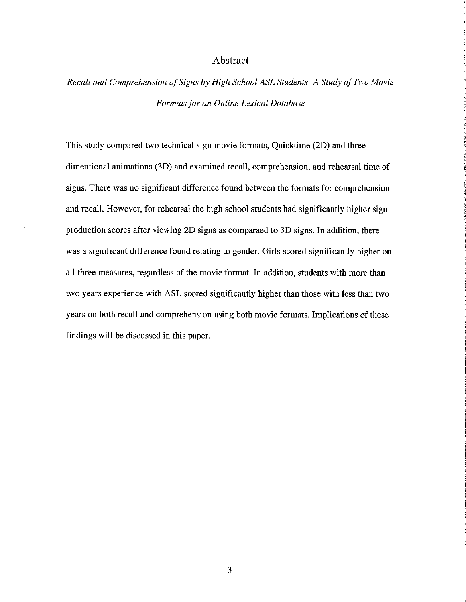#### Abstract

*Recall and Comprehension 0/Signs by High School ASL Students: A Study a/Two Movie Formats/or an Online Lexical Database*

This study compared two technical sign movie formats, Quicktime (2D) and threedimentional animations (3D) and examined recall, comprehension, and rehearsal time of signs. There was no significant difference found between the formats for comprehension and recall. However, for rehearsal the high school students had significantly higher sign production scores after viewing 2D signs as comparaed to 3D signs. In addition, there was a significant difference found relating to gender. Girls scored significantly higher on all three measures, regardless of the movie format. In addition, students with more than two years experience with ASL scored significantly higher than those with less than two years on both recall and comprehension using both movie formats. Implications of these findings will be discussed in this paper.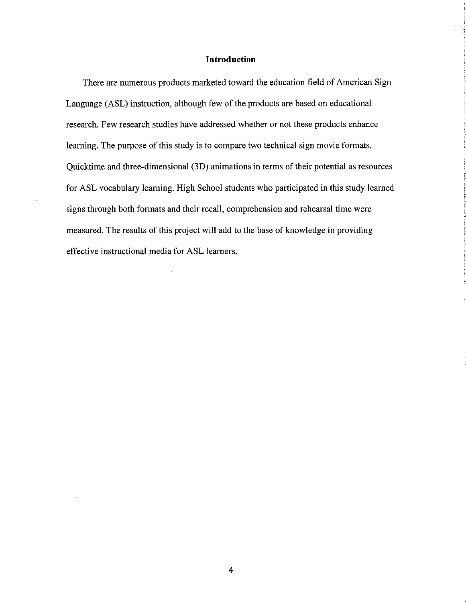## **Introduction**

There are numerous products marketed toward the education field of American Sign Language (ASL) instruction, although few of the products are based on educational research. Few research studies have addressed whether or not these products enhance learning. The purpose of this study is to compare two technical sign movie formats, Quicktime and three-dimensional (3D) animations in terms of their potential as resources for ASL vocabulary learning. High School students who participated in this study learned signs through both formats and their recall, comprehension and rehearsal time were measured. The results of this project will add to the base of knowledge in providing effective instructional media for ASL learners.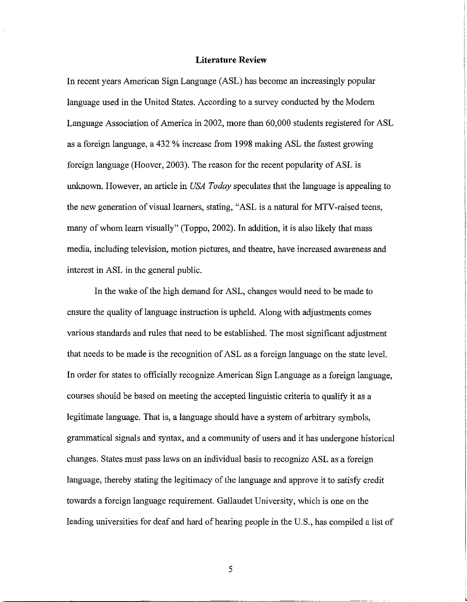#### **Literature Review**

In recent years American Sign Language (ASL) has become an increasingly popular language used in the United States. According to a survey conducted by the Modem Language Association of America in 2002, more than 60,000 students registered for ASL as a foreign language, a 432 % increase from 1998 making ASL the fastest growing foreign language (Hoover, 2003). The reason for the recent popularity of ASL is unknown. However, an article in *USA Today* speculates that the language is appealing to the new generation of visual learners, stating, "ASL is a natural for MTV-raised teens, many of whom learn visually" (Toppo, 2002). In addition, it is also likely that mass media, including television, motion pictures, and theatre, have increased awareness and interest in ASL in the general public.

In the wake of the high demand for ASL, changes would need to be made to ensure the quality of language instruction is upheld. Along with adjustments comes various standards and rules that need to be established. The most significant adjustment that needs to be made is the recognition of ASL as a foreign language on the state level. In order for states to officially recognize American Sign Language as a foreign language, courses should be based on meeting the accepted linguistic criteria to qualify it as a legitimate language. That is, a language should have a system of arbitrary symbols, grammatical signals and syntax, and a community of users and it has undergone historical changes. States must pass laws on an individual basis to recognize ASL as a foreign language, thereby stating the legitimacy of the language and approve it to satisfy credit towards a foreign language requirement. Gallaudet University, which is one on the leading universities for deaf and hard of hearing people in the U.S., has compiled a list of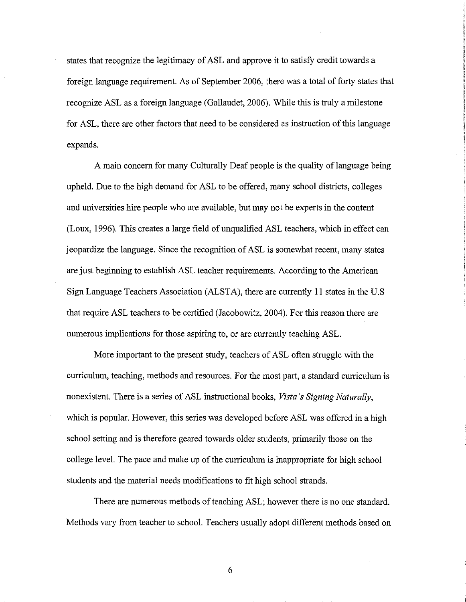states that recognize the legitimacy of ASL and approve it to satisfy credit towards a foreign language requirement. As of September 2006, there was a total of forty states that recognize ASL as a foreign language (Gallaudet, 2006). While this is truly a milestone for ASL, there are other factors that need to be considered as instruction of this language expands.

A main concern for many Culturally Deaf people is the quality of language being upheld. Due to the high demand for ASL to be offered, many school districts, colleges and universities hire people who are available, but may not be experts in the content (Loux, 1996). This creates a large field of unqualified ASL teachers, which in effect can jeopardize the language. Since the recognition ofASL is somewhat recent, many states are just beginning to establish ASL teacher requirements. According to the American Sign Language Teachers Association (ALSTA), there are currently II states in the U.S that require ASL teachers to be certified (Jacobowitz, 2004). For this reason there are numerous implications for those aspiring to, or are currently teaching ASL.

More important to the present study, teachers of ASL often struggle with the curriculum, teaching, methods and resources. For the most part, a standard curriculum is nonexistent. There is a series ofASL instructional books, *Vista's Signing Naturally,* which is popular. However, this series was developed before ASL was offered in a high school setting and is therefore geared towards older students, primarily those on the college level. The pace and make up of the curriculum is inappropriate for high school students and the material needs modifications to fit high school strands.

There are numerous methods of teaching ASL; however there is no one standard. Methods vary from teacher to school. Teachers usually adopt different methods based on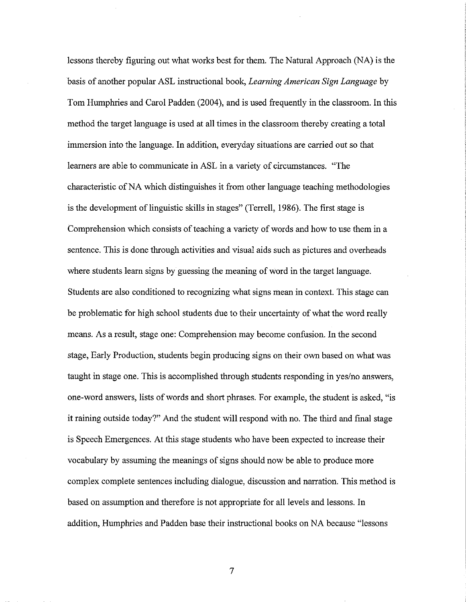lessons thereby figuring out what works best for them. The Natural Approach (NA) is the basis of another popular ASL instructional book, *Learning American Sign Language* by Tom Humphries and Carol Padden (2004), and is used frequently in the classroom. In this method the target language is used at all times in the classroom thereby creating a total immersion into the language. In addition, everyday situations are carried out so that learners are able to communicate in ASL in a variety of circumstances. "The characteristic ofNA which distinguishes it from other language teaching methodologies is the development of linguistic skills in stages" (Terrell, 1986). The first stage is Comprehension which consists of teaching a variety of words and how to use them in a sentence. This is done through activities and visual aids such as pictures and overheads where students learn signs by guessing the meaning of word in the target language. Students are also conditioned to recognizing what signs mean in context. This stage can be problematic for high school students due to their uncertainty of what the word really means. As a result, stage one: Comprehension may become confusion. In the second stage, Early Production, students begin producing signs on their own based on what was taught in stage one. This is accomplished through students responding in yes/no answers, one-word answers, lists ofwords and short phrases. For example, the student is asked, "is it raining outside today?" And the student will respond with no. The third and final stage is Speech Emergences. At this stage students who have been expected to increase their vocabulary by assuming the meanings of signs should now be able to produce more complex complete sentences including dialogue, discussion and narration. This method is based on assumption and therefore is not appropriate for all levels and lessons. In addition, Humphries and Padden base their instructional books on NA because "lessons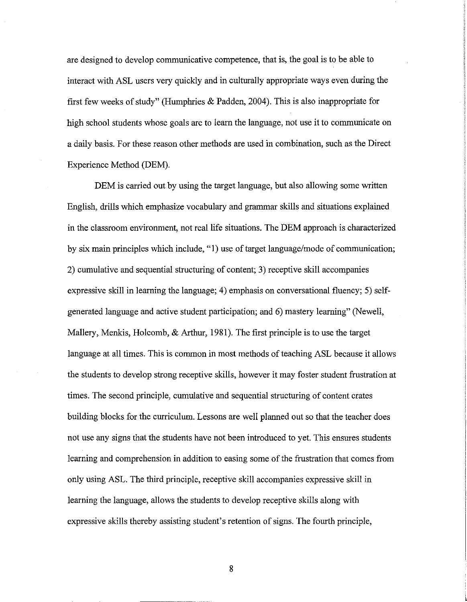are designed to develop communicative competence, that is, the goal is to be able to interact with ASL users very quickly and in culturally appropriate ways even during the first few weeks of study" (Humphries  $\&$  Padden, 2004). This is also inappropriate for high school students whose goals are to learn the language, not use it to communicate on a daily basis. For these reason other methods are used in combination, such as the Direct Experience Method (DEM).

DEM is carried out by using the target language, but also allowing some written English, drills which emphasize vocabulary and grannnar skills and situations explained in the classroom environment, not real life situations. The DEM approach is characterized by six main principles which include, "1) use of target language/mode of communication; 2) cumulative and sequential structuring of content; 3) receptive skill accompanies expressive skill in learning the language; 4) emphasis on conversational fluency; 5) selfgenerated language and active student participation; and 6) mastery learning" (Newell, Mallery, Menkis, Holcomb, & Arthur, 1981). The first principle is to use the target language at all times. This is common in most methods of teaching ASL because it allows the students to develop strong receptive skills, however it may foster student frustration at times. The second principle, cumulative and sequential structuring of content crates building blocks for the curriculum. Lessons are well planned out so that the teacher does not use any signs that the students have not been introduced to yet. This ensures students learning and comprehension in addition to easing some of the frustration that comes from only using ASL. The third principle, receptive skill accompanies expressive skill in learning the language, allows the students to develop receptive skills along with expressive skills thereby assisting student's retention of signs. The fourth principle,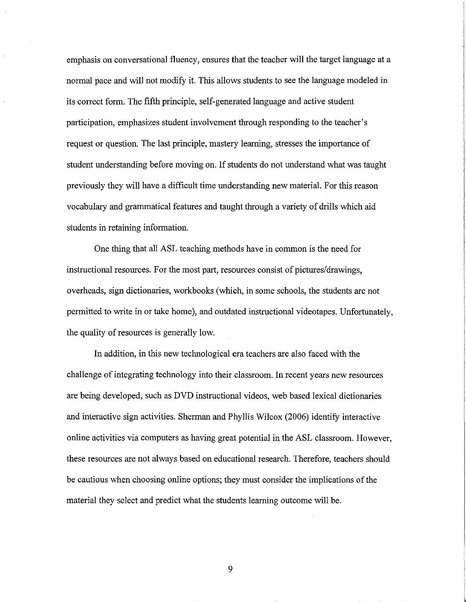emphasis on conversational fluency, ensures that the teacher will the target language at a normal pace and will not modify it. This allows students to see the language modeled in its correct form. The fifth principle, self-generated language and active student participation, emphasizes student involvement through responding to the teacher's request or question. The last principle, mastery learning, stresses the importance of student understanding before moving on. If students do not understand what was taught previously they will have a difficult time understanding new material. For this reason vocabulary and grarmnatical features and taught through a variety of drills which aid students in retaining information.

One thing that all ASL teaching methods have in common is the need for instructional resources. For the most part, resources consist of pictures/drawings, overheads, sign dictionaries, workbooks (which, in some schools, the students are not permitted to write in or take home), and outdated instructional videotapes. Unfortunately, the quality of resources is generally low.

In addition, in this new technological era teachers are also faced with the challenge ofintegrating technology into their classroom. In recent years new resources are being developed, such as DVD instructional videos, web based lexical dictionaries and interactive sign activities. Sherman and Phyllis Wilcox (2006) identify interactive online activities via computers as having great potential in the ASL classroom. However, these resources are not always based on educational research. Therefore, teachers should be cautious when choosing online options; they must consider the implications of the material they select and predict what the students learning outcome will be.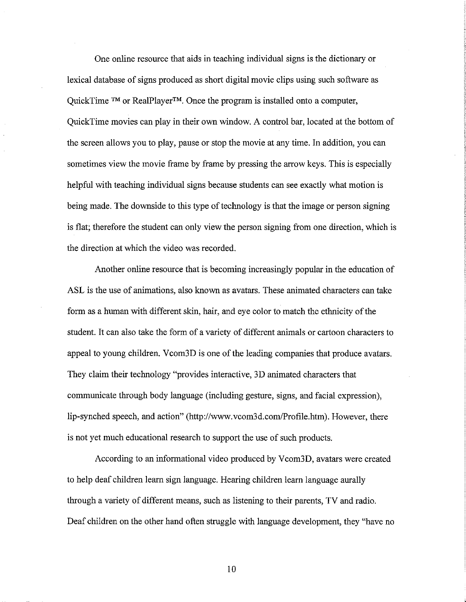One online resource that aids in teaching individual signs is the dictionary or lexical database of signs produced as short digital movie clips using such software as QuickTime ™ or RealPlayer™. Once the program is installed onto a computer, QuickTime movies can play in their own window. A control bar, located at the bottom of the screen allows you to play, pause or stop the movie at any time. In addition, you can sometimes view the movie frame by frame by pressing the arrow keys. This is especially helpful with teaching individual signs because students can see exactly what motion is being made. The downside to this type of technology is that the image or person signing is flat; therefore the student can only view the person signing from one direction, which is the direction at which the video was recorded.

Another online resource that is becoming increasingly popular in the education of ASL is the use of animations, also known as avatars. These animated characters can take form as a human with different skin, hair, and eye color to match the ethnicity of the student. It can also take the form of a variety of different animals or cartoon characters to appeal to young children. Vcom3D is one of the leading companies that produce avatars. They claim their technology "provides interactive, 3D animated characters that communicate through body language (including gesture, signs, and facial expression), lip-synched speech, and action" (http://www.vcom3d.com/Profile.htm). However, there is not yet much educational research to support the use of such products.

According to an informational video produced by Vcom3D, avatars were created to help deaf children learn sign language. Hearing children learn language aurally through a variety of different means, such as listening to their parents, TV and radio. Deaf children on the other hand often struggle with language development, they "have no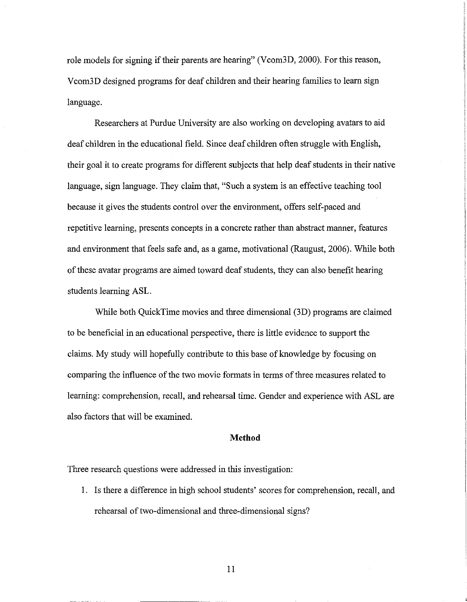role models for signing if their parents are hearing" (Vcom3D, 2000). For this reason, Vcom3D designed programs for deaf children and their hearing families to learn sign language.

Researchers at Purdue University are also working on developing avatars to aid deaf children in the educational field. Since deaf children often struggle with English, their goal it to create programs for different subjects that help deafstudents in their native language, sign language. They claim that, "Such a system is an effective teaching tool because it gives the students control over the environment, offers self-paced and repetitive learning, presents concepts in a concrete rather than abstract manner, features and environment that feels safe and, as a game, motivational (Raugust, 2006). While both of these avatar programs are aimed toward deaf students, they can also benefit hearing students learning ASL.

While both QuickTime movies and three dimensional (3D) programs are claimed to be beneficial in an educational perspective, there is little evidence to support the claims. My study will hopefully contribute to this base of knowledge by focusing on comparing the influence of the two movie formats in terms of three measures related to learning: comprehension, recall, and rehearsal time. Gender and experience with ASL are also factors that will be examined.

#### **Method**

Three research questions were addressed in this investigation:

I. Is there a difference in high school students' scores for comprehension, recall, and rehearsal of two-dimensional and three-dimensional signs?

II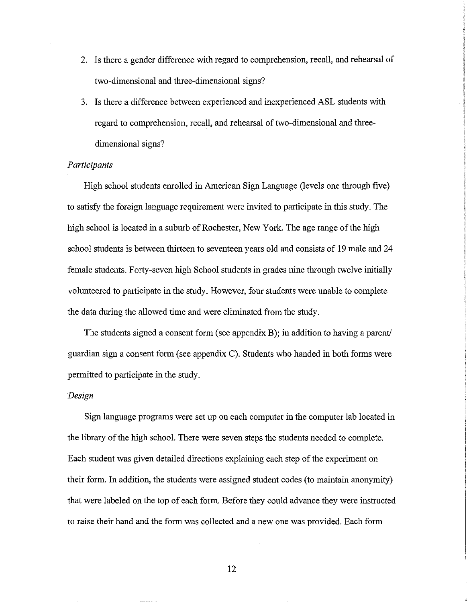- 2. Is there a gender difference with regard to comprehension, recall, and rehearsal of two-dimensional and three-dimensional signs?
- 3. Is there a difference between experienced and inexperienced ASL students with regard to comprehension, recall, and rehearsal of two-dimensional and threedimensional signs?

#### *Participants*

High school students enrolled in American Sign Language (levels one through five) to satisfy the foreign language requirement were invited to participate in this study. The high school is located in a suburb of Rochester, New York. The age range of the high school students is between thirteen to seventeen years old and consists of 19 male and 24 female students. Forty-seven high School students in grades nine through twelve initially volunteered to participate in the study. However, four students were unable to complete the data during the allowed time and were eliminated from the study.

The students signed a consent form (see appendix B); in addition to having a parent/ guardian sign a consent form (see appendix C). Students who handed in both forms were permitted to participate in the study.

#### *Design*

Sign language programs were set up on each computer in the computer lab located in the library of the high school. There were seven steps the students needed to complete. Each student was given detailed directions explaining each step of the experiment on their form. In addition, the students were assigned student codes (to maintain anonymity) that were labeled on the top of each form. Before they could advance they were instructed to raise their hand and the form was collected and a new one was provided. Each form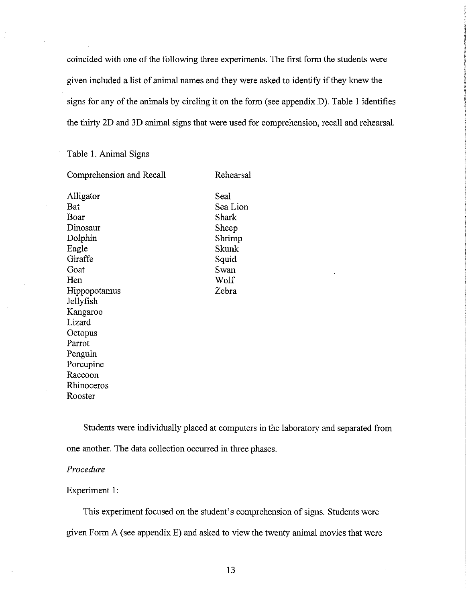coincided with one of the following three experiments. The first form the students were given included a list of animal names and they were asked to identify if they knew the signs for any of the animals by circling it on the form (see appendix  $D$ ). Table 1 identifies the thirty 2D and 3D animal signs that were used for comprehension, recall and rehearsal.

#### Table 1. Animal Signs

Comprehension and Recall

Alligator Bat Boar Dinosaur Dolphin Eagle Giraffe Goat Hen Hippopotamus Jellyfish Kangaroo Lizard **Octopus** Parrot Penguin Porcupine Raccoon Rhinoceros Rooster

Seal Sea Lion Shark Sheep Shrimp Skunk Squid Swan Wolf Zebra

Rehearsal

Students were individually placed at computers in the laboratory and separated from one another. The data collection occurred in three phases.

#### *Procedure*

#### Experiment 1:

This experiment focused on the student's comprehension of signs. Students were given Form A (see appendix E) and asked to view the twenty animal movies that were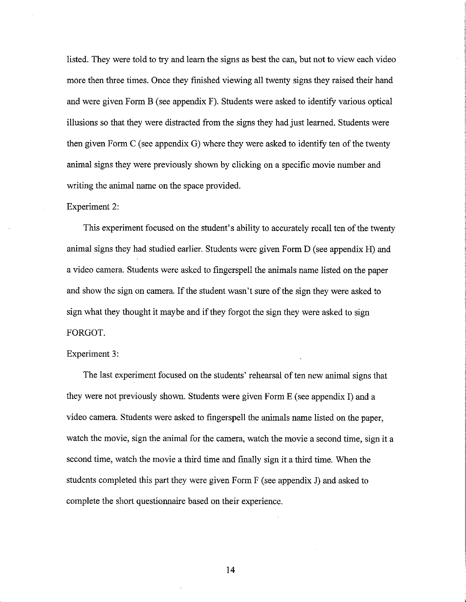listed. They were told to try and learn the signs as best the can, but not to view each video more then three times. Once they finished viewing all twenty signs they raised their hand and were given Form B (see appendix F). Students were asked to identify various optical illusions so that they were distracted from the signs they had just learned. Students were then given Form  $C$  (see appendix  $G$ ) where they were asked to identify ten of the twenty animal signs they were previously shown by clicking on a specific movie number and writing the animal name on the space provided.

#### Experiment 2:

This experiment focused on the student's ability to accurately recall ten of the twenty animal signs they had studied earlier. Students were given Form D (see appendix H) and a video camera. Students were asked to fingerspell the animals name listed on the paper and show the sign on camera. If the student wasn't sure of the sign they were asked to sign what they thought it maybe and ifthey forgot the sign they were asked to sign FORGOT.

#### Experiment 3:

The last experiment focused on the students' rehearsal of ten new animal signs that they were not previously shown. Students were given Form E (see appendix I) and a video camera. Students were asked to fingerspell the animals name listed on the paper, watch the movie, sign the animal for the camera, watch the movie a second time, sign it a second time, watch the movie a third time and finally sign it a third time. When the students completed this part they were given Form F (see appendix 1) and asked to complete the short questionnaire based on their experience.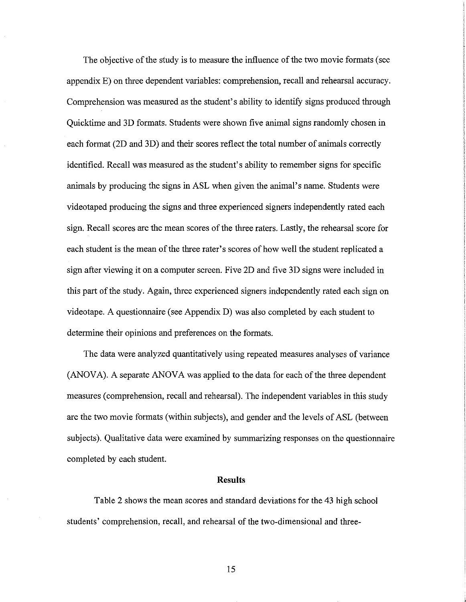The objective of the study is to measure the influence of the two movie formats (see appendix E) on three dependent variables: comprehension, recall and rehearsal accuracy. Comprehension was measured as the student's ability to identify signs produced through Quicktime and 3D formats. Students were shown five animal signs randomly chosen in each format (2D and 3D) and their scores reflect the total number of animals correctly identified. Recall was measured as the student's ability to remember signs for specific animals by producing the signs in ASL when given the animal's name. Students were videotaped producing the signs and three experienced signers independently rated each sign. Recall scores are the mean scores of the three raters. Lastly, the rehearsal score for each student is the mean of the three rater's scores of how well the student replicated a sign after viewing it on a computer screen. Five 2D and five 3D signs were included in this part of the study. Again, three experienced signers independently rated each sign on videotape. A questionnaire (see Appendix D) was also completed by each student to determine their opinions and preferences on the formats.

The data were analyzed quantitatively using repeated measures analyses of variance  $(ANOVA)$ . A separate  $ANOVA$  was applied to the data for each of the three dependent measures (comprehension, recall and rehearsal). The independent variables in this study are the two movie formats (within subjects), and gender and the levels ofASL (between subjects). Qualitative data were examined by summarizing responses on the questionnaire completed by each student.

#### Results

Table 2 shows the mean scores and standard deviations for the 43 high school students' comprehension, recall, and rehearsal of the two-dimensional and three-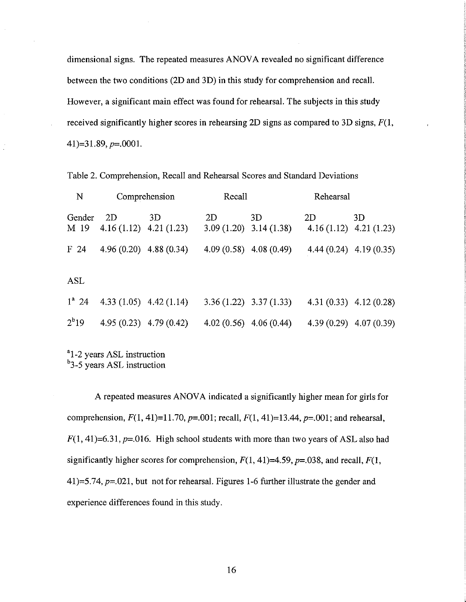dimensional signs. The repeated measures ANOVA revealed no significant difference between the two conditions (2D and 3D) in this study for comprehension and recall. However, a significant main effect was found for rehearsal. The subjects in this study received significantly higher scores in rehearsing 2D signs as compared to 3D signs,  $F(1, 1)$  $41$ )=31.89, p=.0001.

| N               |                                 | Comprehension | Recall                          |                           | Rehearsal                       |                           |
|-----------------|---------------------------------|---------------|---------------------------------|---------------------------|---------------------------------|---------------------------|
| Gender<br>M 19  | 2D<br>$4.16(1.12)$ $4.21(1.23)$ | 3D            | 2D<br>$3.09(1.20)$ $3.14(1.38)$ | 3D                        | 2D<br>$4.16(1.12)$ $4.21(1.23)$ | 3D                        |
| F <sub>24</sub> | $4.96(0.20)$ $4.88(0.34)$       |               | $4.09(0.58)$ $4.08(0.49)$       |                           |                                 | $4.44(0.24)$ $4.19(0.35)$ |
| ASL             |                                 |               |                                 |                           |                                 |                           |
| $1^a$ 24        | 4.33 $(1.05)$ 4.42 $(1.14)$     |               |                                 | $3.36(1.22)$ $3.37(1.33)$ | $4.31(0.33)$ $4.12(0.28)$       |                           |
| $2^{b}19$       | $4.95(0.23)$ $4.79(0.42)$       |               | $4.02(0.56)$ $4.06(0.44)$       |                           |                                 | $4.39(0.29)$ $4.07(0.39)$ |

Table 2. Comprehension, Recall and Rehearsal Scores and Standard Deviations

<sup>a</sup>1-2 years ASL instruction <sup>b</sup>3-5 years ASL instruction

A repeated measures ANOVA indicated a significantly higher mean for girls for comprehension,  $F(1, 41)=11.70$ ,  $p=.001$ ; recall,  $F(1, 41)=13.44$ ,  $p=.001$ ; and rehearsal,  $F(1, 41) = 6.31$ ,  $p = .016$ . High school students with more than two years of ASL also had significantly higher scores for comprehension,  $F(1, 41)=4.59$ ,  $p=.038$ , and recall,  $F(1, 41)$ 41)=5.74,  $p=0.021$ , but not for rehearsal. Figures 1-6 further illustrate the gender and experience differences found in this study.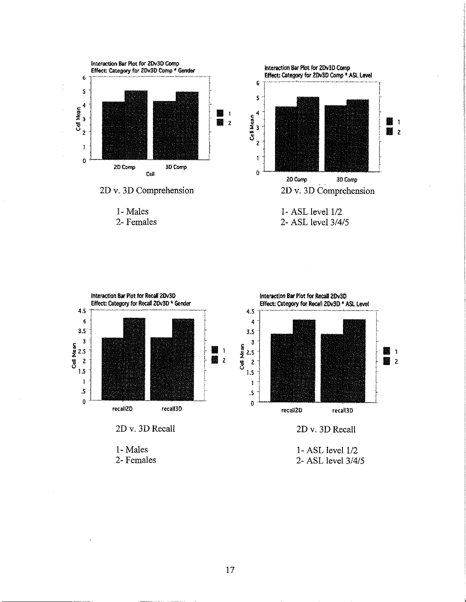

1- Males 2- Females



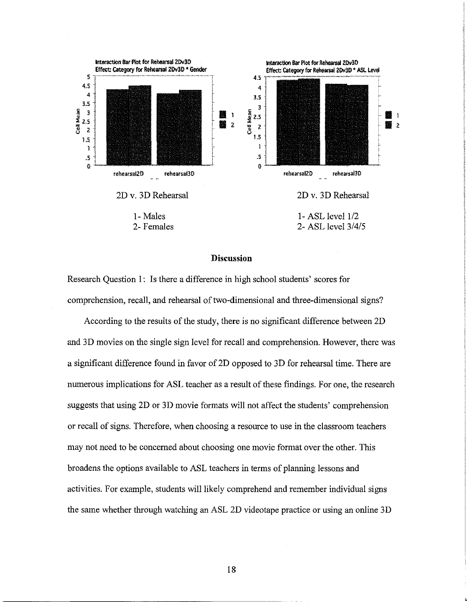

#### **Discussion**

Research Question 1: Is there a difference in high school students' scores for comprehension, recall, and rehearsal of two-dimensional and three-dimensional signs?

According to the results of the study, there is no significant difference between 2D and 3D movies on the single sign level for recall and comprehension. However, there was a significant difference found in favor of2D opposed to 3D for rehearsal time. There are numerous implications for ASL teacher as a result of these findings. For one, the research suggests that using 2D or 3D movie formats will not affect the students' comprehension or recall of signs. Therefore, when choosing a resource to use in the classroom teachers may not need to be concerned about choosing one movie format over the other. This broadens the options available to ASL teachers in terms of planning lessons and activities. For example, students will likely comprehend and remember individual signs the same whether through watching an ASL 2D videotape practice or using an online 3D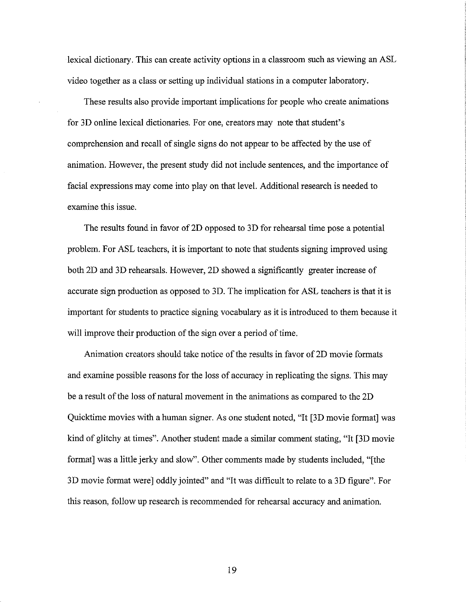lexical dictionary. This can create activity options in a classroom such as viewing an ASL video together as a class or setting up individual stations in a computer laboratory.

These results also provide important implications for people who create animations for 3D online lexical dictionaries. For one, creators may note that student's comprehension and recall of single signs do not appear to be affected by the use of animation. However, the present study did not include sentences, and the importance of facial expressions may come into play on that level. Additional research is needed to examine this issue.

The results found in favor of 2D opposed to 3D for rehearsal time pose a potential problem. For ASL teachers, it is important to note that students signing improved using both 2D and 3D rehearsals. However, 2D showed a significantly greater increase of accurate sign production as opposed to 3D. The implication for ASL teachers is that it is important for students to practice signing vocabulary as it is introduced to them because it will improve their production of the sign over a period of time.

Animation creators should take notice of the results in favor of 2D movie formats and examine possible reasons for the loss of accuracy in replicating the signs. This may be a result of the loss of natural movement in the animations as compared to the 2D Quicktime movies with a human signer. As one student noted, "It [3D movie format] was kind of glitchy at times". Another student made a similar comment stating, "It [3D movie format] was a little jerky and slow". Other comments made by students included, "[the 3D movie format were] oddly jointed" and "It was difficult to relate to a 3D figure". For this reason, follow up research is recommended for rehearsal accuracy and animation.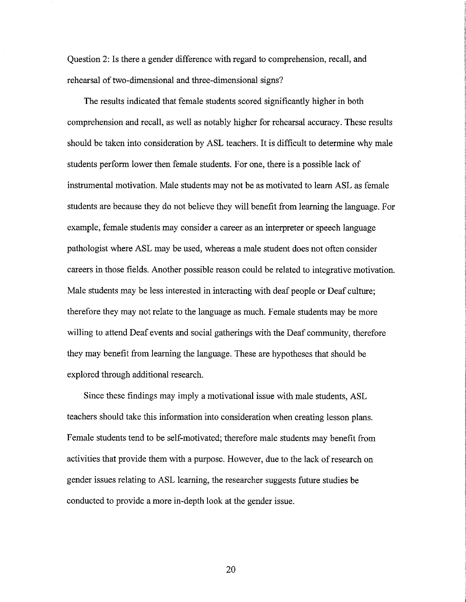Question 2: Is there a gender difference with regard to comprehension, recall, and rehearsal of two-dimensional and three-dimensional signs?

The results indicated that female students scored significantly higher in both comprehension and recall, as well as notably higher for rehearsal accuracy. These results should be taken into consideration by ASL teachers. It is difficult to determine why male students perform lower then female students. For one, there is a possible lack of instrumental motivation. Male students may not be as motivated to learn ASL as female students are because they do not believe they will benefit from learning the language. For example, female students may consider a career as an interpreter or speech language pathologist where ASL may be used, whereas a male student does not often consider careers in those fields. Another possible reason could be related to integrative motivation. Male students may be less interested in interacting with deaf people or Deaf culture; therefore they may not relate to the language as much. Female students may be more willing to attend Deaf events and social gatherings with the Deaf community, therefore they may benefit from learning the language. These are hypotheses that should be explored through additional research.

Since these findings may imply a motivational issue with male students, ASL teachers should take this information into consideration when creating lesson plans. Female students tend to be self-motivated; therefore male students may benefit from activities that provide them with a purpose. However, due to the lack ofresearch on gender issues relating to ASL learning, the researcher suggests future studies be conducted to provide a more in-depth look at the gender issue.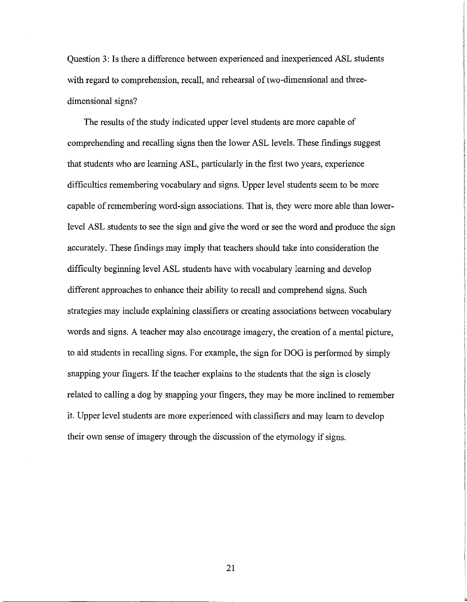Question 3: Is there a difference between experienced and inexperienced ASL students with regard to comprehension, recall, and rehearsal of two-dimensional and threedimensional signs?

The results of the study indicated upper level students are more capable of comprehending and recalling signs then the lower ASL levels. These findings suggest that students who are learning ASL, particularly in the first two years, experience difficulties remembering vocabulary and signs. Upper level students seem to be more capable of remembering word-sign associations. That is, they were more able than lowerlevel ASL students to see the sign and give the word or see the word and produce the sign accurately. These findings may imply that teachers should take into consideration the difficulty beginning level ASL students have with vocabulary learning and develop different approaches to enhance their ability to recall and comprehend signs. Such strategies may include explaining classifiers or creating associations between vocabulary words and signs. A teacher may also encourage imagery, the creation of a mental picture, to aid students in recalling signs. For example, the sign for DOG is performed by simply snapping your fingers. If the teacher explains to the students that the sign is closely related to calling a dog by snapping your fingers, they may be more inclined to remember it. Upper level students are more experienced with classifiers and may learn to develop their own sense of imagery through the discussion of the etymology if signs.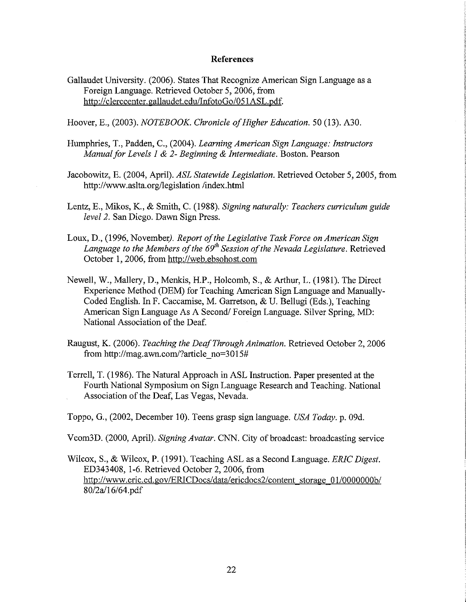#### **References**

Gallaudet University. (2006). States That Recognize American Sign Language as a Foreign Language. Retrieved October 5, 2006, from *http://*clerccenter.gallaudet.edulInfotoGo/051ASL.pdf.

Hoover, E., (2003). *NOTEBOOK. Chronicle ofHigher Education.* 50 (13). A30.

- Humphries, T., Padden, C., (2004). *Learning American Sign Language: Instructors Manualfor Levels I* & 2- *Beginning* & *Intermediate.* Boston. Pearson
- Jacobowitz, E. (2004, April). *ASL Statewide Legislation.* Retrieved October 5, 2005, from http://www.aslta.org/legislation/index.html
- Lentz, E., Mikos, K., & Smith, C. (1988). *Signing naturally: Teachers curriculum guide level* 2. San Diego. Dawn Sign Press.
- Loux, D., (1996, November). *Report of the Legislative Task Force on American Sign Language to the Members ofthe 69th Session ofthe Nevada Legislature.* Retrieved October 1,2006, from http://web.ebsohost.com
- Newell, W., Mallery, D., Menkis, H.P., Holcomb, S., & Arthur, L. (1981). The Direct Experience Method (DEM) for Teaching American Sign Language and Manually-Coded English. In F. Caccamise, M. Garretson, & U. Bellugi (Eds.), Teaching American Sign Language As A Second/Foreign Language. Silver Spring, MD: National Association of the Deaf.
- Raugust, K. (2006). *Teaching the DeafThrough Animation.* Retrieved October 2, 2006 from http://mag.awn.com/?article\_no=3015#
- Terrell, T. (1986). The Natural Approach in ASL Instruction. Paper presented at the Fourth National Symposium on Sign Language Research and Teaching. National Association of the Deaf, Las Vegas, Nevada.
- Toppo, G., (2002, December 10). Teens grasp sign language. *USA Today.* p. 09d.

Vcom3D. (2000, April). *Signing Avatar.* CNN. City of broadcast: broadcasting service

Wilcox, S., & Wilcox, P. (1991). Teaching ASL as a Second Language. *ERIC Digest.* ED343408, 1-6. Retrieved October 2, 2006, from http://www.eric.ed.gov/ERICDocs/data/ericdocs2/content storage 01/0000000b/ 8012a116164.pdf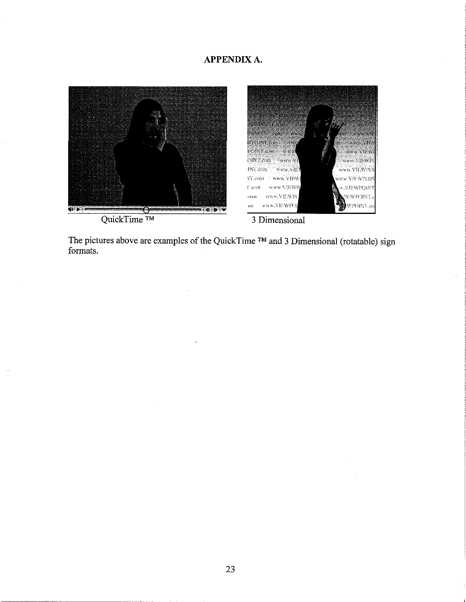# **APPENDIXA.**



QuickTime ™



3 Dimensional

The pictures above are examples of the QuickTime ™ and 3 Dimensional (rotatable) sign formats.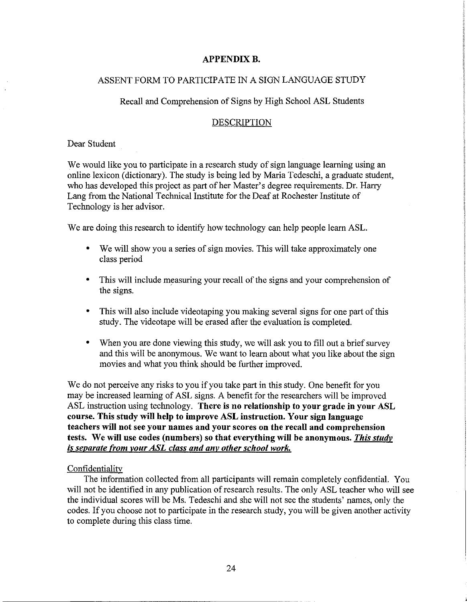#### **APPENDIX B.**

# ASSENT FORM TO PARTICIPATE IN A SIGN LANGUAGE STUDY

#### Recall and Comprehension of Signs by High School ASL Students

#### DESCRIPTION

Dear Student

We would like you to participate in a research study of sign language learning using an online lexicon (dictionary). The study is being led by Maria Tedeschi, a graduate student, who has developed this project as part of her Master's degree requirements. Dr. Harry Lang from the National Technical Institute for the Deaf at Rochester Institute of Technology is her advisor.

We are doing this research to identify how technology can help people learn ASL.

- We will show you a series of sign movies. This will take approximately one class period
- This will include measuring your recall of the signs and your comprehension of the signs.
- This will also include videotaping you making several signs for one part of this study. The videotape will be erased after the evaluation is completed.
- When you are done viewing this study, we will ask you to fill out a brief survey and this will be anonymous. We want to learn about what you like about the sign movies and what you think should be further improved.

We do not perceive any risks to you if you take part in this study. One benefit for you may be increased learning of ASL signs. A benefit for the researchers will be improved ASL instruction using technology. There is no relationship to your grade in your ASL course. This study will help to improve ASL instruction. Your sign language teachers will not see your names and your scores on the recall and comprehension tests. We will use codes (numbers) so that everything will be anonymous. *This study is separate from vour ASL class and any other school work.*

#### Confidentiality

The information collected from all participants will remain completely confidential. You will not be identified in any publication of research results. The only ASL teacher who will see the individual scores will be Ms. Tedeschi and she will not see the students' names, only the codes. If you choose not to participate in the research study, you will be given another activity to complete during this class time.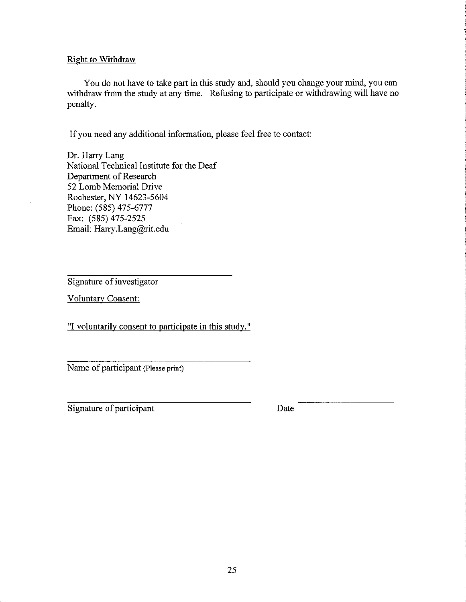#### Right to Withdraw

You do not have to take part in this study and, should you change your mind, you can withdraw from the study at any time. Refusing to participate or withdrawing will have no penalty.

If you need any additional information, please feel free to contact:

Dr. Harry Lang National Technical Institute for the Deaf Department of Research 52 Lomb Memorial Drive Rochester, NY 14623-5604 Phone: (585) 475-6777 Fax: (585) 475-2525 Email: Harry.Lang@rit.edu

Signature of investigator

Voluntary Consent:

"I voluntarily consent to participate in this study. "

Name of participant (Please print)

Signature of participant

Date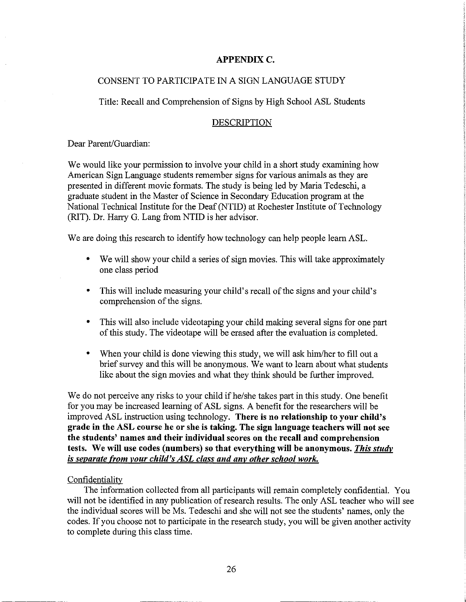### **APPENDIXC.**

#### CONSENT TO PARTICIPATE IN A SIGN LANGUAGE STUDY

Title: Recall and Comprehension of Signs by High School ASL Students

#### DESCRIPTION

Dear Parent/Guardian:

We would like your permission to involve your child in a short study examining how American Sign Language students remember signs for various animals as they are presented in different movie formats. The study is being led by Maria Tedeschi, a graduate student in the Master of Science in Secondary Education program at the National Technical Institute for the Deaf (NTID) at Rochester Institute of Technology (RIT). Dr. Harry G. Lang from NTID is her advisor.

We are doing this research to identify how technology can help people learn ASL.

- We will show your child a series of sign movies. This will take approximately one class period
- This will include measuring your child's recall of the signs and your child's comprehension of the signs.
- This will also include videotaping your child making several signs for one part of this study. The videotape will be erased after the evaluation is completed.
- When your child is done viewing this study, we will ask him/her to fill out a brief survey and this will be anonymous. We want to learn about what students like about the sign movies and what they think should be further improved.

We do not perceive any risks to your child if he/she takes part in this study. One benefit for you may be increased learning of ASL signs. A benefit for the researchers will be improved ASL instruction using technology. **There is no relationship to your child's grade in the ASL course he or she is taking. The sign language teachers will not see the students' names and their individual scores on the recall and comprehension tests. We will use codes (numbers) so that everything will be anonymous.** *This study is separate from your child's ASL class and any other school work.*

#### **Confidentiality**

The information collected from all participants will remain completely confidential. You will not be identified in any publication of research results. The only ASL teacher who will see the individual scores will be Ms. Tedeschi and she will not see the students' names, only the codes. If you choose not to participate in the research study, you will be given another activity to complete during this class time.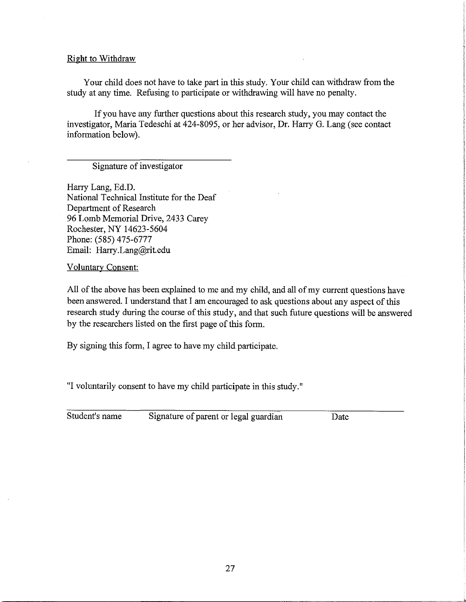#### **Right to Withdraw**

Your child does not have to take part in this study. Your child can withdraw from the study at any time. Refusing to participate or withdrawing will have no penalty.

If you have any further questions about this research study, you may contact the investigator, Maria Tedeschi at 424-8095, or her advisor, Dr. Harry G. Lang (see contact information below).

# Signature of investigator

Harry Lang, Ed.D. National Technical Institute for the Deaf Department of Research 96 Lomb Memorial Drive, 2433 Carey Rochester, NY 14623-5604 Phone: (585) 475-6777 Email: Harry.Lang@rit.edu

Voluntary Consent:

All of the above has been explained to me and my child, and all of my current questions have been answered. I understand that I am encouraged to ask questions about any aspect of this research study during the course of this study, and that such future questions will be answered by the researchers listed on the first page of this form.

By signing this form, I agree to have my child participate.

"I voluntarily consent to have my child participate in this study."

| Student's name | Signature of parent or legal guardian | Date |
|----------------|---------------------------------------|------|
|----------------|---------------------------------------|------|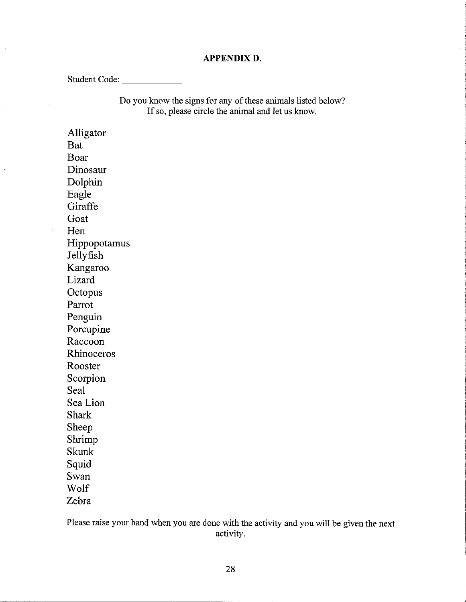# **APPENDIXD.**

Student Code: \_

Do you know the signs for any of these animals listed below? If so, please circle the animal and let us know.

Alligator Bat Boar Dinosaur Dolphin Eagle **Giraffe** Goat Hen Hippopotamus Jellyfish Kangaroo Lizard **Octopus** Parrot Penguin Porcupine Raccoon Rhinoceros Rooster Scorpion Seal Sea Lion Shark Sheep Shrimp Skunk Squid Swan Wolf Zebra

 $\ddot{\phantom{a}}$ 

Please raise your hand when you are done with the activity and you will be given the next activity.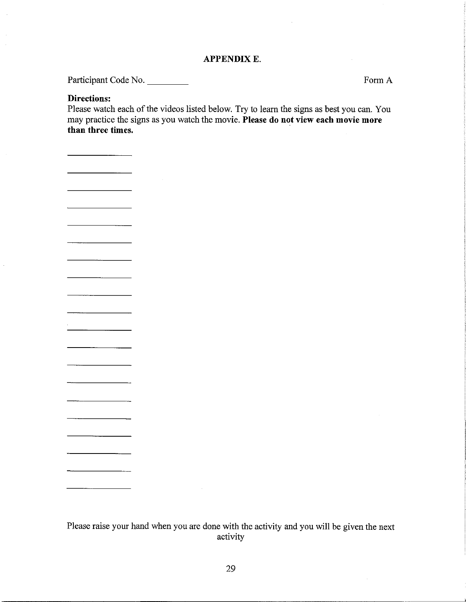#### **APPENDIXE.**

Participant Code No.

FormA

# **Directions:**

Please watch each of the videos listed below. Try to learn the signs as best you can. You may practice the signs as you watch the movie. **Please do not view each movie more than three times.**

Please raise your hand when you are done with the activity and you will be given the next activity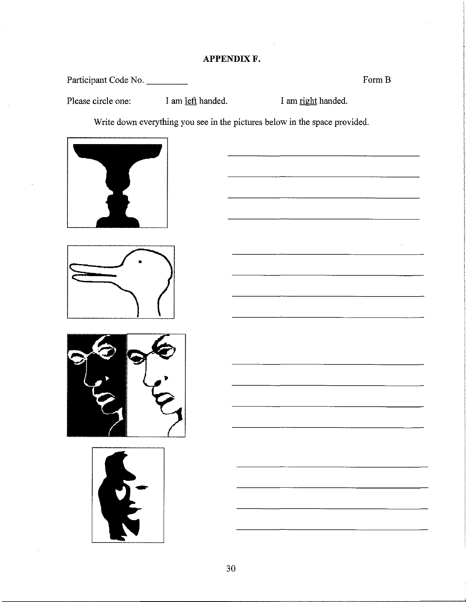# **APPENDIXF.**

Participant Code No. \_

Form **B** 

<u> La Carlo de Carlo de la Carlo de Carlo de Carlo de Carlo de Carlo de Carlo de Carlo de Carlo de Carlo de Carlo</u>

I am left handed. Please circle one: I am <u>left</u> handed. I am <u>right</u> handed.

Write down everything you see in the pictures below in the space provided.







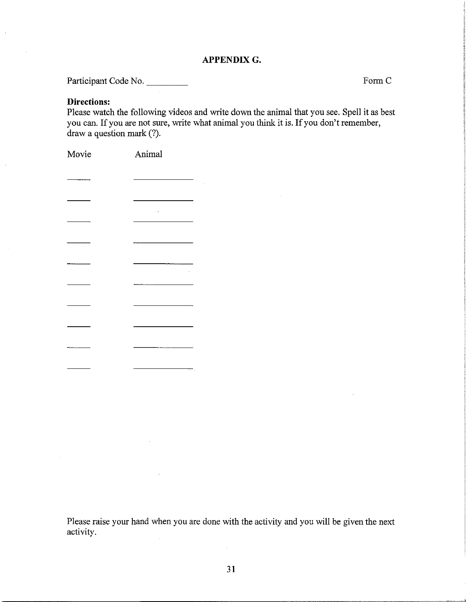## **APPENDIXG.**

Participant Code No. \_\_\_\_\_\_\_\_

FormC

# **Directions:**

Please watch the following videos and write down the animal that you see. Spell it as best you can. If you are not sure, write what animal you think it is. If you don't remember, draw a question mark (?).

| Movie         | Animal                                 |
|---------------|----------------------------------------|
| ------------- |                                        |
|               | the control of the control of the con- |
|               |                                        |
| J,            |                                        |
|               |                                        |
|               |                                        |
|               |                                        |
|               |                                        |
|               |                                        |
|               |                                        |
|               |                                        |
|               |                                        |

Please raise your hand when you are done with the activity and you will be given the next activity.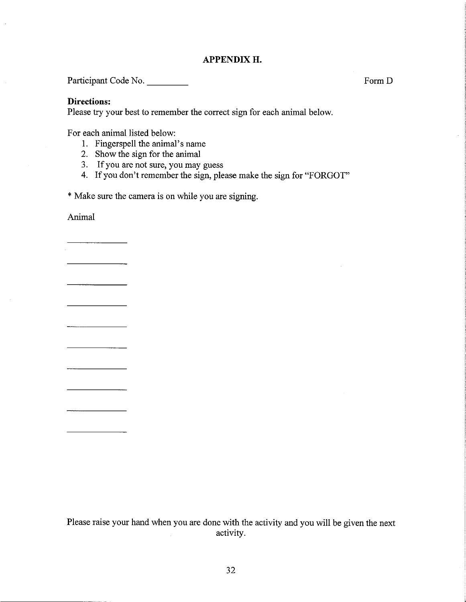#### **APPENDIXH.**

Participant Code No.

**Directions:**

Please try your best to remember the correct sign for each animal below.

For each animal listed below:

- 1. Fingerspell the animal's name
- 2. Show the sign for the animal
- 3. If you are not sure, you may guess
- 4. If you don't remember the sign, please make the sign for "FORGOT"

\*Make sure the camera is on while you are signing.

Animal

<u> Albanya (Albanya Albanya)</u>

Please raise your hand when you are done with the activity and you will be given the next activity.

Form D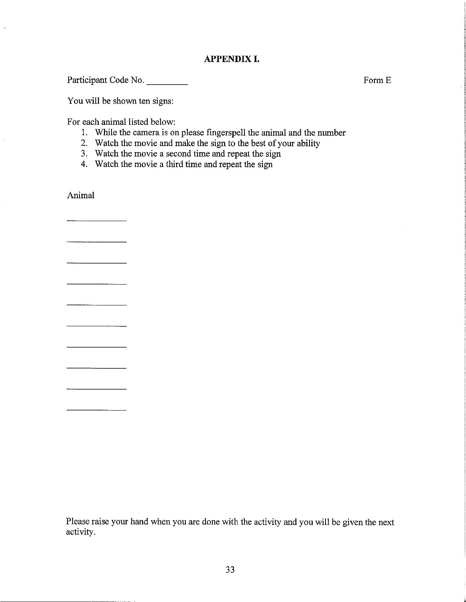# APPENDIX I.

Participant Code No. \_

You will be shown ten signs:

For each animal listed below:

- 1. While the camera is on please fingerspell the animal and the number
- 2. Watch the movie and make the sign to the best of your ability
- 3. Watch the movie a second time and repeat the sign
- 4. Watch the movie a third time and repeat the sign

Animal

 $\overline{\phantom{a}}$  . The contract of  $\overline{\phantom{a}}$ 

 $\bar{a}$ 

 $\overline{\phantom{a}}$ 

Please raise your hand when you are done with the activity and you will be given the next activity.

FormE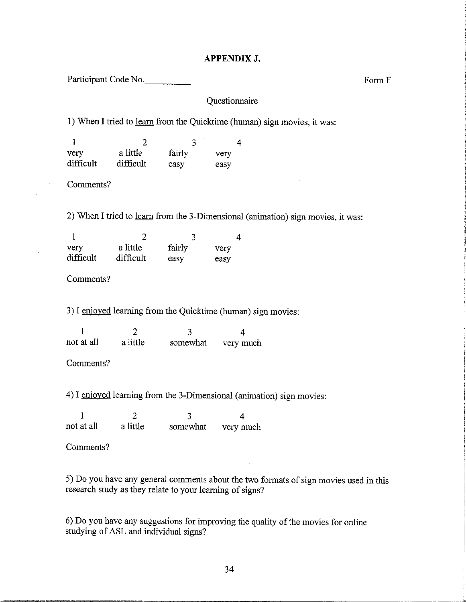### **APPENDIXJ.**

Participant Code No.

# Questionnaire

l) When I tried to learn from the Quicktime (human) sign movies, it was:

| very      | a little  | fairly | very |
|-----------|-----------|--------|------|
| difficult | difficult | easv   | easy |

Comments?

2) When I tried to learn from the 3-Dimensional (animation) sign movies, it was:

| very      | a little  | fairly | very |
|-----------|-----------|--------|------|
| difficult | difficult | easy   | easy |

Comments?

3) I enjoyed learning from the Quicktime (human) sign movies:

| not at all | a little | somewhat | very much |
|------------|----------|----------|-----------|

Comments?

4) I enjoyed learning from the 3-Dimensional (animation) sign movies:

I not at all 2 a little 3 somewhat 4 very much

Comments?

5) Do you have any general comments about the two formats of sign movies used in this research study as they relate to your learning of signs?

6) Do you have any suggestions for improving the quality of the movies for online studying of ASL and individual signs?

Form F